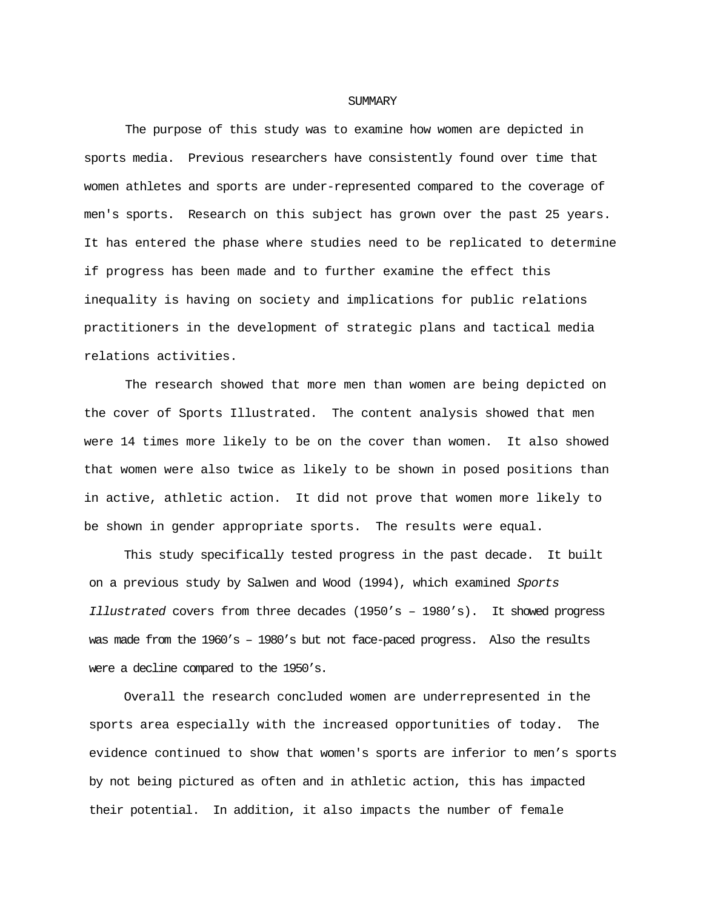## **SUMMARY**

The purpose of this study was to examine how women are depicted in sports media. Previous researchers have consistently found over time that women athletes and sports are under-represented compared to the coverage of men's sports. Research on this subject has grown over the past 25 years. It has entered the phase where studies need to be replicated to determine if progress has been made and to further examine the effect this inequality is having on society and implications for public relations practitioners in the development of strategic plans and tactical media relations activities.

The research showed that more men than women are being depicted on the cover of Sports Illustrated. The content analysis showed that men were 14 times more likely to be on the cover than women. It also showed that women were also twice as likely to be shown in posed positions than in active, athletic action. It did not prove that women more likely to be shown in gender appropriate sports. The results were equal.

This study specifically tested progress in the past decade. It built on a previous study by Salwen and Wood (1994), which examined *Sports Illustrated* covers from three decades (1950's – 1980's). It showed progress was made from the 1960's – 1980's but not face-paced progress. Also the results were a decline compared to the 1950's.

Overall the research concluded women are underrepresented in the sports area especially with the increased opportunities of today. The evidence continued to show that women's sports are inferior to men's sports by not being pictured as often and in athletic action, this has impacted their potential. In addition, it also impacts the number of female